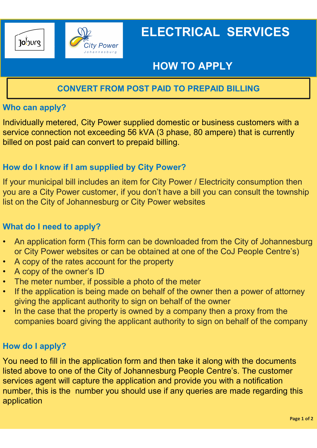

# ELECTRICAL SERVICES

## HOW TO APPLY

### CONVERT FROM POST PAID TO PREPAID BILLING

#### Who can apply?

Individually metered, City Power supplied domestic or business customers with a service connection not exceeding 56 kVA (3 phase, 80 ampere) that is currently billed on post paid can convert to prepaid billing.

#### How do I know if I am supplied by City Power?

If your municipal bill includes an item for City Power / Electricity consumption then you are a City Power customer, if you don't have a bill you can consult the township list on the City of Johannesburg or City Power websites Individually metered, City Power supplied domestic or business customers with a<br>service connection not exceeding 56 kVA (3 phase, 80 ampere) that is currently<br>billed on post paid can convert to prepaid billing.<br>How do I kn

#### What do I need to apply?

- An application form (This form can be downloaded from the City of Johannesburg
- 
- A copy of the owner's ID
- The meter number, if possible a photo of the meter
- If the application is being made on behalf of the owner then a power of attorney giving the applicant authority to sign on behalf of the owner
- In the case that the property is owned by a company then a proxy from the companies board giving the applicant authority to sign on behalf of the company

#### How do I apply?

You need to fill in the application form and then take it along with the documents listed above to one of the City of Johannesburg People Centre's. The customer services agent will capture the application and provide you with a notification number, this is the number you should use if any queries are made regarding this application